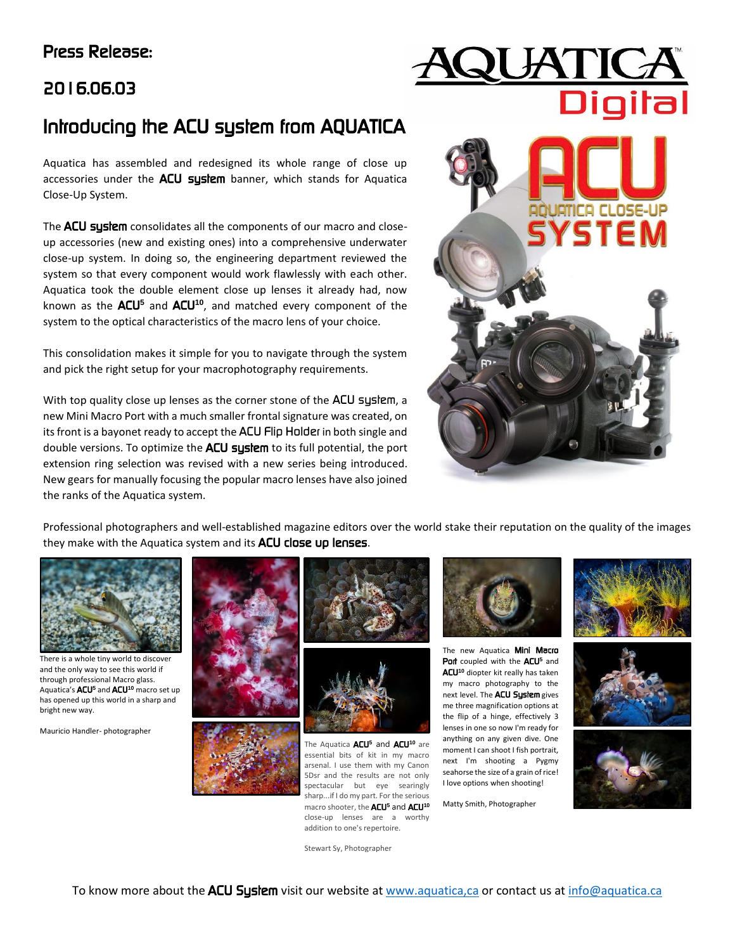# Press Release:

# 2016.06.03

# Introducing the ACU system from AQUATICA

Aquatica has assembled and redesigned its whole range of close up accessories under the ACU system banner, which stands for Aquatica Close-Up System.

The **ACU system** consolidates all the components of our macro and closeup accessories (new and existing ones) into a comprehensive underwater close-up system. In doing so, the engineering department reviewed the system so that every component would work flawlessly with each other. Aquatica took the double element close up lenses it already had, now known as the ACU**<sup>5</sup>** and ACU**<sup>10</sup>**, and matched every component of the system to the optical characteristics of the macro lens of your choice.

This consolidation makes it simple for you to navigate through the system and pick the right setup for your macrophotography requirements.

With top quality close up lenses as the corner stone of the ACU system, a new Mini Macro Port with a much smaller frontal signature was created, on its front is a bayonet ready to accept the ACU Flip Holder in both single and double versions. To optimize the ACU system to its full potential, the port extension ring selection was revised with a new series being introduced. New gears for manually focusing the popular macro lenses have also joined the ranks of the Aquatica system.



Professional photographers and well-established magazine editors over the world stake their reputation on the quality of the images they make with the Aquatica system and its ACU close up lenses.



There is a whole tiny world to discover and the only way to see this world if through professional Macro glass. Aquatica's ACU**<sup>5</sup>** and ACU**<sup>10</sup>** macro set up has opened up this world in a sharp and bright new way.

Mauricio Handler- photographer





The Aquatica ACU**<sup>5</sup>** and ACU**<sup>10</sup>** are essential bits of kit in my macro arsenal. I use them with my Canon 5Dsr and the results are not only spectacular but eye searingly sharp...if I do my part. For the serious macro shooter, the ACU**<sup>5</sup>** and ACU**<sup>10</sup>** close-up lenses are a worthy addition to one's repertoire.



The new Aquatica Mini Macro Port coupled with the ACU<sup>5</sup> and ACU**<sup>10</sup>** diopter kit really has taken my macro photography to the next level. The **ACU System** gives me three magnification options at the flip of a hinge, effectively 3 lenses in one so now I'm ready for anything on any given dive. One moment I can shoot I fish portrait, next I'm shooting a Pygmy seahorse the size of a grain of rice! I love options when shooting!

Matty Smith, Photographer







Stewart Sy, Photographer